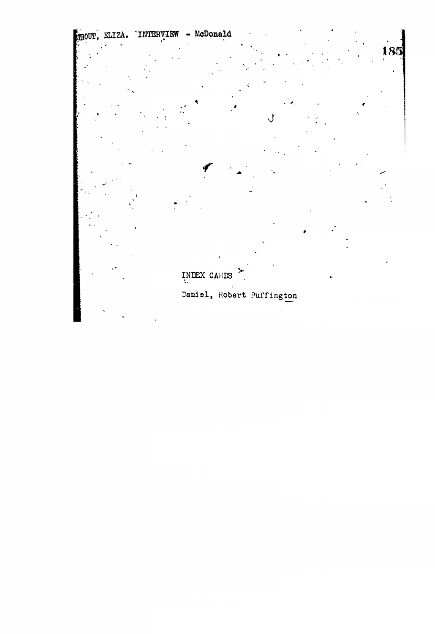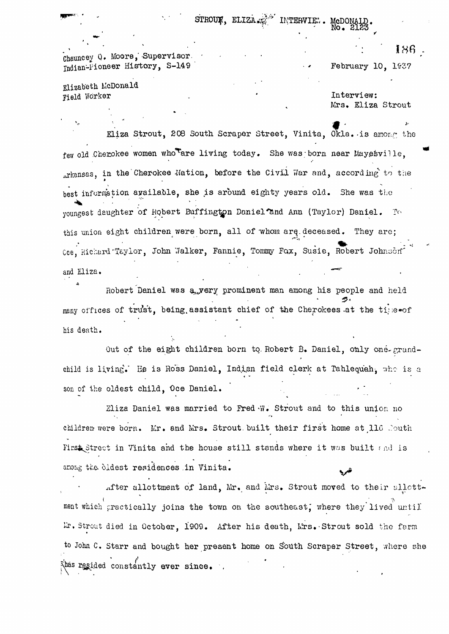Chauncey Q. Moore, Supervisor. Indian-Pioneer History, S-149

Elizabeth McDonald Field Worker .

Interview:

February 10, 1937

McDONA

Mrs. Eliza Strout

Eliza Strout, 208 South Scraper Street, Vinita, Okla. is among the few old Cherokee women whoter living today. She was; born near Mayesville. arkansas, in the Cherokee Mation, before the Civil War and, according to the best information available, she is around eighty years old. She was the youngest daughter of Robert Buffington Daniel and Ann (Taylor) Daniel. To this union eight children were born, all of whom arq.deceased. They are; Cce, Richard'Taylor, John Walker, Fannie, Tommy Fox, Susie, Robert Johnson and Eliza.

STROUK, ELIZA ... MYERVIE..

Robert Daniel was a yery prominent man among his people and held **• ' • ' £ '** many offices of trust, being assistant chief of the Cherokees at the tipe of his death.

Out of the eight children born to Robert B. Daniel, only one-grandchild is living." He is Ross Daniel, Indian field clerk at Tahlequah, who is a son of the oldest child, Oce Daniel.

Eliza Daniel was married to Fred'W, Strout and to this union no children were born. Mr. and Mrs. Strout built their first home at 116 South First Street in Vinita and the house still stands where it was built and is among the oldest residences in Vinita.

after allottment of land. Mr. and Mrs. Strout moved to their allottment which practically joins the town on the southeast, where they lived until Lr. Strout died in October, 1909. After his death, Mrs. Strout sold the farm to John C. Starr and bought her present home on South Scraper Street, where she *f*<br> $\frac{1}{2}$  *r and dinee* raided constantly ever since.

I86 -